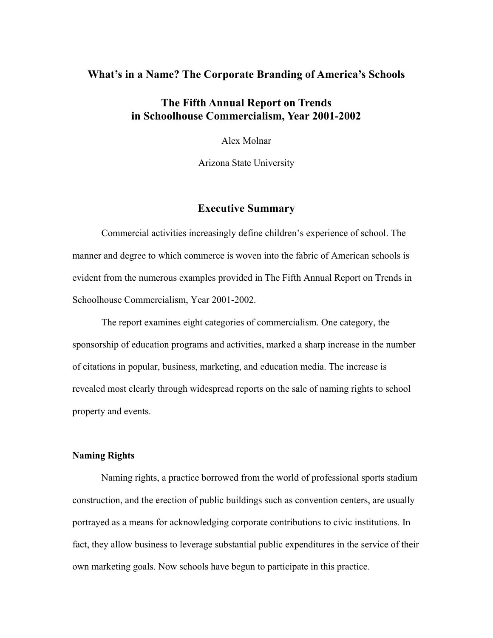### **What's in a Name? The Corporate Branding of America's Schools**

# **The Fifth Annual Report on Trends in Schoolhouse Commercialism, Year 2001-2002**

Alex Molnar

Arizona State University

## **Executive Summary**

 Commercial activities increasingly define children's experience of school. The manner and degree to which commerce is woven into the fabric of American schools is evident from the numerous examples provided in The Fifth Annual Report on Trends in Schoolhouse Commercialism, Year 2001-2002.

 The report examines eight categories of commercialism. One category, the sponsorship of education programs and activities, marked a sharp increase in the number of citations in popular, business, marketing, and education media. The increase is revealed most clearly through widespread reports on the sale of naming rights to school property and events.

#### **Naming Rights**

Naming rights, a practice borrowed from the world of professional sports stadium construction, and the erection of public buildings such as convention centers, are usually portrayed as a means for acknowledging corporate contributions to civic institutions. In fact, they allow business to leverage substantial public expenditures in the service of their own marketing goals. Now schools have begun to participate in this practice.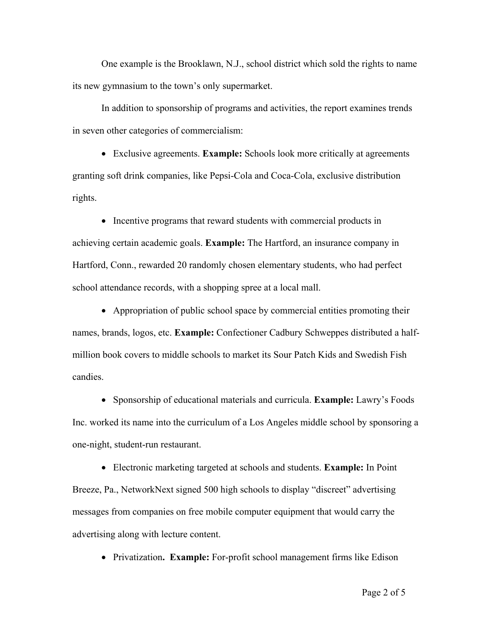One example is the Brooklawn, N.J., school district which sold the rights to name its new gymnasium to the town's only supermarket.

In addition to sponsorship of programs and activities, the report examines trends in seven other categories of commercialism:

• Exclusive agreements. **Example:** Schools look more critically at agreements granting soft drink companies, like Pepsi-Cola and Coca-Cola, exclusive distribution rights.

• Incentive programs that reward students with commercial products in achieving certain academic goals. **Example:** The Hartford, an insurance company in Hartford, Conn., rewarded 20 randomly chosen elementary students, who had perfect school attendance records, with a shopping spree at a local mall.

• Appropriation of public school space by commercial entities promoting their names, brands, logos, etc. **Example:** Confectioner Cadbury Schweppes distributed a halfmillion book covers to middle schools to market its Sour Patch Kids and Swedish Fish candies.

• Sponsorship of educational materials and curricula. **Example:** Lawry's Foods Inc. worked its name into the curriculum of a Los Angeles middle school by sponsoring a one-night, student-run restaurant.

• Electronic marketing targeted at schools and students. **Example:** In Point Breeze, Pa., NetworkNext signed 500 high schools to display "discreet" advertising messages from companies on free mobile computer equipment that would carry the advertising along with lecture content.

• Privatization. **Example:** For-profit school management firms like Edison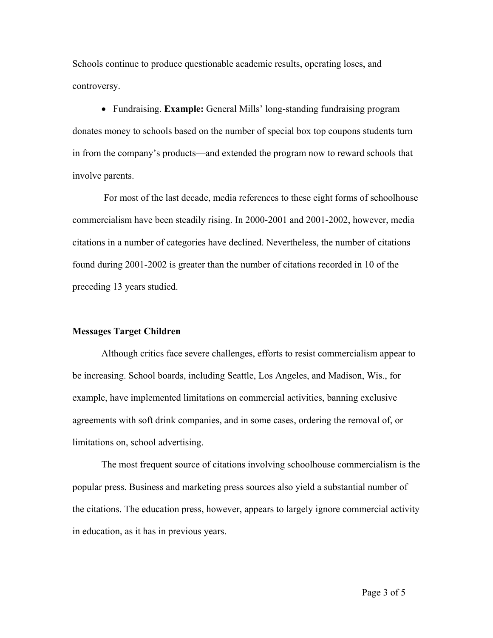Schools continue to produce questionable academic results, operating loses, and controversy.

• Fundraising. **Example:** General Mills' long-standing fundraising program donates money to schools based on the number of special box top coupons students turn in from the company's products—and extended the program now to reward schools that involve parents.

 For most of the last decade, media references to these eight forms of schoolhouse commercialism have been steadily rising. In 2000-2001 and 2001-2002, however, media citations in a number of categories have declined. Nevertheless, the number of citations found during 2001-2002 is greater than the number of citations recorded in 10 of the preceding 13 years studied.

#### **Messages Target Children**

Although critics face severe challenges, efforts to resist commercialism appear to be increasing. School boards, including Seattle, Los Angeles, and Madison, Wis., for example, have implemented limitations on commercial activities, banning exclusive agreements with soft drink companies, and in some cases, ordering the removal of, or limitations on, school advertising.

The most frequent source of citations involving schoolhouse commercialism is the popular press. Business and marketing press sources also yield a substantial number of the citations. The education press, however, appears to largely ignore commercial activity in education, as it has in previous years.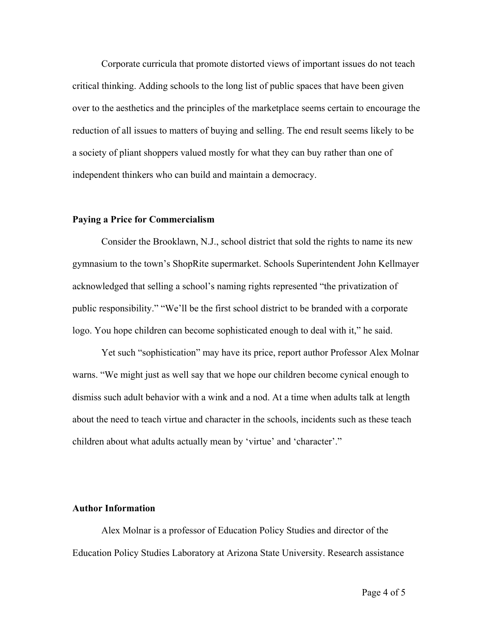Corporate curricula that promote distorted views of important issues do not teach critical thinking. Adding schools to the long list of public spaces that have been given over to the aesthetics and the principles of the marketplace seems certain to encourage the reduction of all issues to matters of buying and selling. The end result seems likely to be a society of pliant shoppers valued mostly for what they can buy rather than one of independent thinkers who can build and maintain a democracy.

#### **Paying a Price for Commercialism**

Consider the Brooklawn, N.J., school district that sold the rights to name its new gymnasium to the town's ShopRite supermarket. Schools Superintendent John Kellmayer acknowledged that selling a school's naming rights represented "the privatization of public responsibility." "We'll be the first school district to be branded with a corporate logo. You hope children can become sophisticated enough to deal with it," he said.

Yet such "sophistication" may have its price, report author Professor Alex Molnar warns. "We might just as well say that we hope our children become cynical enough to dismiss such adult behavior with a wink and a nod. At a time when adults talk at length about the need to teach virtue and character in the schools, incidents such as these teach children about what adults actually mean by 'virtue' and 'character'."

#### **Author Information**

Alex Molnar is a professor of Education Policy Studies and director of the Education Policy Studies Laboratory at Arizona State University. Research assistance